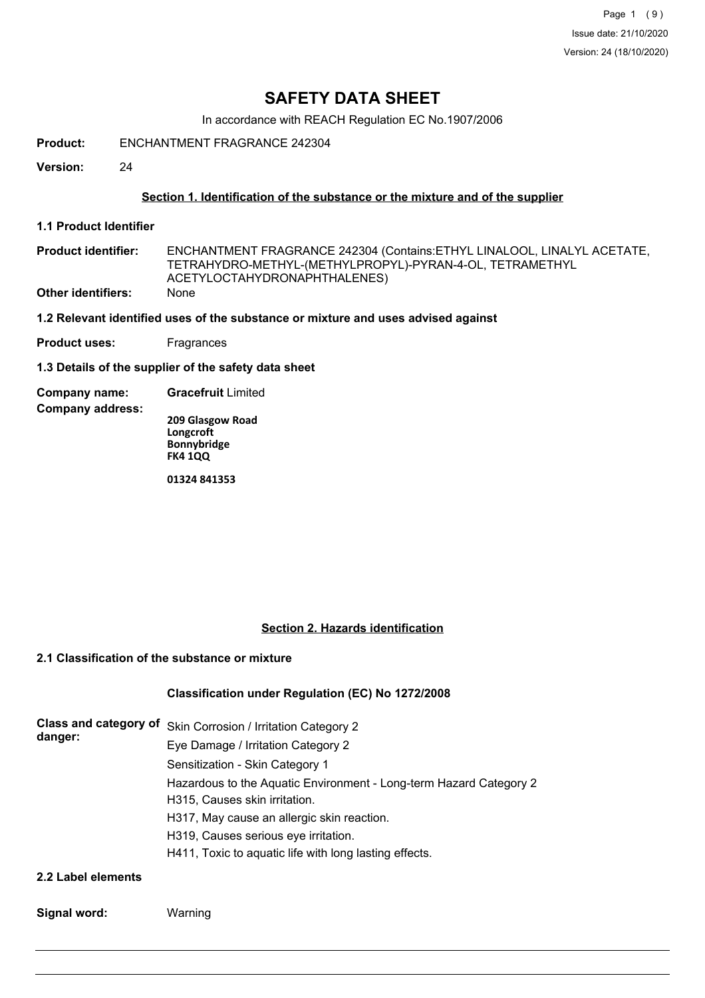Page 1 (9) Issue date: 21/10/2020 Version: 24 (18/10/2020)

## **SAFETY DATA SHEET**

In accordance with REACH Regulation EC No.1907/2006

**Product:** ENCHANTMENT FRAGRANCE 242304

**Version:** 24

## **Section 1. Identification of the substance or the mixture and of the supplier**

**1.1 Product Identifier**

**Company address:**

ENCHANTMENT FRAGRANCE 242304 (Contains:ETHYL LINALOOL, LINALYL ACETATE, TETRAHYDRO-METHYL-(METHYLPROPYL)-PYRAN-4-OL, TETRAMETHYL ACETYLOCTAHYDRONAPHTHALENES) **Product identifier: Other identifiers:** None

**1.2 Relevant identified uses of the substance or mixture and uses advised against**

**Product uses:** Fragrances

**1.3 Details of the supplier of the safety data sheet**

**Company name: Gracefruit** Limited

**209 Glasgow Road Longcroft Bonnybridge FK4 1QQ**

**01324 841353**

## **Section 2. Hazards identification**

## **2.1 Classification of the substance or mixture**

## **Classification under Regulation (EC) No 1272/2008**

|         | Class and category of Skin Corrosion / Irritation Category 2       |
|---------|--------------------------------------------------------------------|
| danger: | Eye Damage / Irritation Category 2                                 |
|         | Sensitization - Skin Category 1                                    |
|         | Hazardous to the Aquatic Environment - Long-term Hazard Category 2 |
|         | H315, Causes skin irritation.                                      |
|         | H317, May cause an allergic skin reaction.                         |
|         | H319, Causes serious eye irritation.                               |
|         | H411, Toxic to aquatic life with long lasting effects.             |
|         |                                                                    |

**2.2 Label elements**

**Signal word:** Warning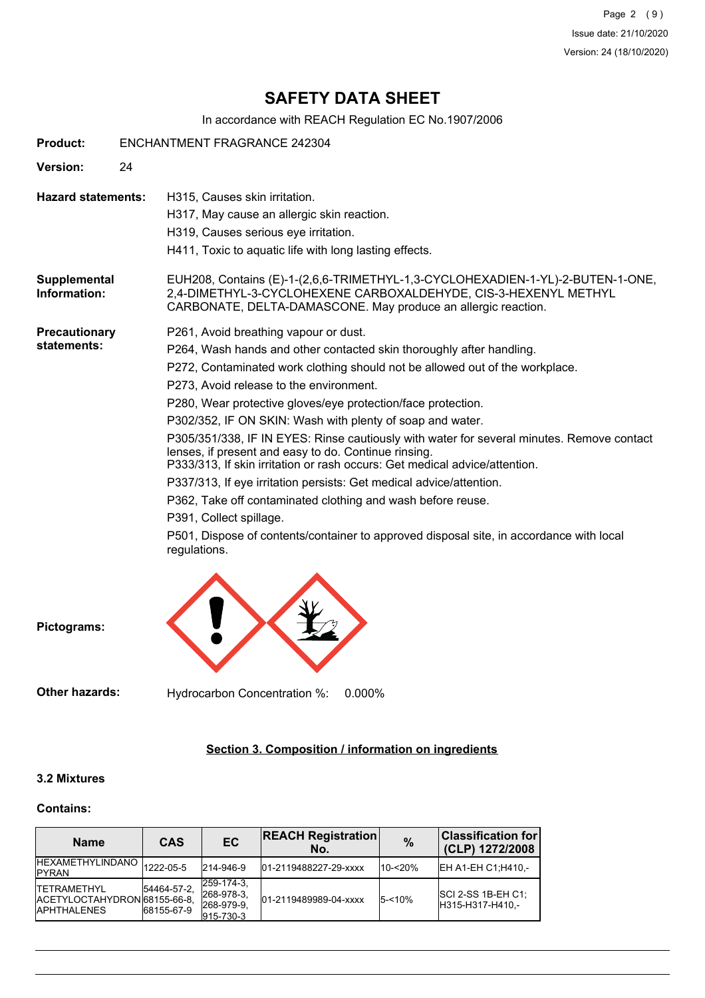Page 2 (9) Issue date: 21/10/2020 Version: 24 (18/10/2020)

## **SAFETY DATA SHEET**

In accordance with REACH Regulation EC No.1907/2006

| <b>Product:</b>                     | <b>ENCHANTMENT FRAGRANCE 242304</b> |                                                                                                                                                                                                                                                                                                                                                                                                                                                                                                                                                                                                                                                                                                                                                                                                                                                                      |  |  |  |
|-------------------------------------|-------------------------------------|----------------------------------------------------------------------------------------------------------------------------------------------------------------------------------------------------------------------------------------------------------------------------------------------------------------------------------------------------------------------------------------------------------------------------------------------------------------------------------------------------------------------------------------------------------------------------------------------------------------------------------------------------------------------------------------------------------------------------------------------------------------------------------------------------------------------------------------------------------------------|--|--|--|
| Version:                            | 24                                  |                                                                                                                                                                                                                                                                                                                                                                                                                                                                                                                                                                                                                                                                                                                                                                                                                                                                      |  |  |  |
| <b>Hazard statements:</b>           |                                     | H315, Causes skin irritation.<br>H317, May cause an allergic skin reaction.<br>H319, Causes serious eye irritation.<br>H411, Toxic to aquatic life with long lasting effects.                                                                                                                                                                                                                                                                                                                                                                                                                                                                                                                                                                                                                                                                                        |  |  |  |
| Supplemental<br>Information:        |                                     | EUH208, Contains (E)-1-(2,6,6-TRIMETHYL-1,3-CYCLOHEXADIEN-1-YL)-2-BUTEN-1-ONE,<br>2,4-DIMETHYL-3-CYCLOHEXENE CARBOXALDEHYDE, CIS-3-HEXENYL METHYL<br>CARBONATE, DELTA-DAMASCONE. May produce an allergic reaction.                                                                                                                                                                                                                                                                                                                                                                                                                                                                                                                                                                                                                                                   |  |  |  |
| <b>Precautionary</b><br>statements: | regulations.                        | P261, Avoid breathing vapour or dust.<br>P264, Wash hands and other contacted skin thoroughly after handling.<br>P272, Contaminated work clothing should not be allowed out of the workplace.<br>P273, Avoid release to the environment.<br>P280, Wear protective gloves/eye protection/face protection.<br>P302/352, IF ON SKIN: Wash with plenty of soap and water.<br>P305/351/338, IF IN EYES: Rinse cautiously with water for several minutes. Remove contact<br>lenses, if present and easy to do. Continue rinsing.<br>P333/313, If skin irritation or rash occurs: Get medical advice/attention.<br>P337/313, If eye irritation persists: Get medical advice/attention.<br>P362, Take off contaminated clothing and wash before reuse.<br>P391, Collect spillage.<br>P501, Dispose of contents/container to approved disposal site, in accordance with local |  |  |  |



**Pictograms:**

**Other hazards:** Hydrocarbon Concentration %: 0.000%

## **Section 3. Composition / information on ingredients**

## **3.2 Mixtures**

#### **Contains:**

| <b>Name</b>                                                                | CAS                       | <b>EC</b>                                           | <b>REACH Registration</b><br>No. | $\frac{0}{0}$ | <b>Classification for</b><br>(CLP) 1272/2008 |
|----------------------------------------------------------------------------|---------------------------|-----------------------------------------------------|----------------------------------|---------------|----------------------------------------------|
| <b>IHEXAMETHYLINDANO</b><br><b>IPYRAN</b>                                  | 1222-05-5                 | 214-946-9                                           | 01-2119488227-29-xxxx            | $10 - 20%$    | EH A1-EH C1; H410,-                          |
| <b>ITETRAMETHYL</b><br>ACETYLOCTAHYDRON 68155-66-8.<br><b>IAPHTHALENES</b> | 54464-57-2.<br>68155-67-9 | 259-174-3.<br>268-978-3.<br>268-979-9.<br>915-730-3 | 01-2119489989-04-xxxx            | $5 - 10%$     | $ SCI 2-SS 1B-EH C1 $<br>H315-H317-H410.-    |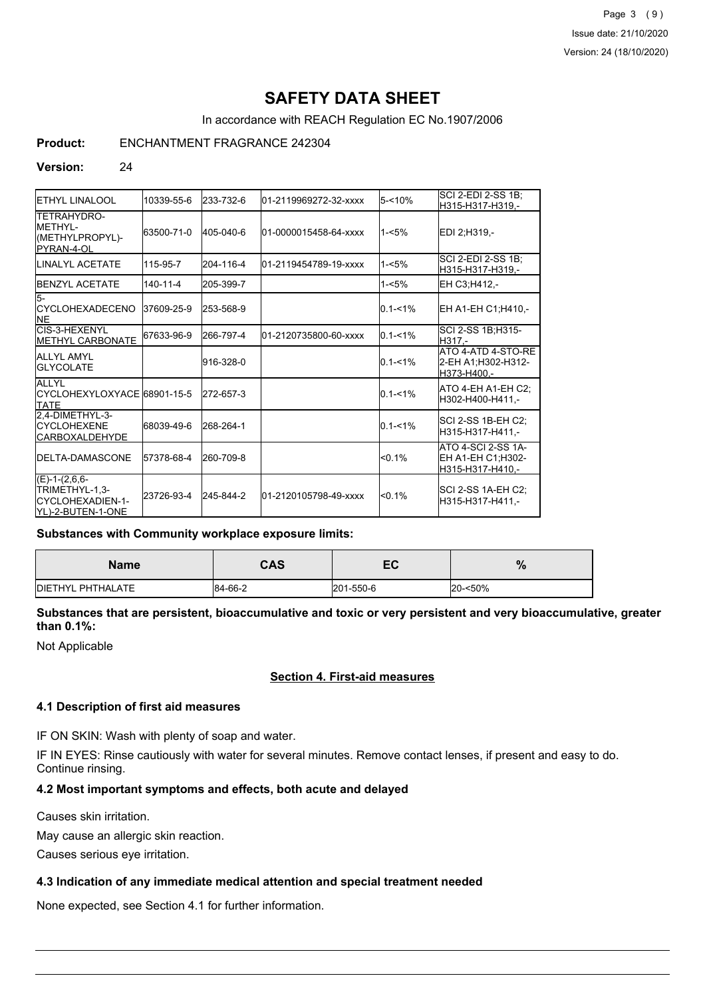Page 3 (9) Issue date: 21/10/2020 Version: 24 (18/10/2020)

# **SAFETY DATA SHEET**

In accordance with REACH Regulation EC No.1907/2006

## **Product:** ENCHANTMENT FRAGRANCE 242304

#### **Version:** 24

| <b>I</b> ETHYL LINALOOL                                                         | 10339-55-6     | 233-732-6 | l01-2119969272-32-xxxx | $5 - 10%$   | SCI 2-EDI 2-SS 1B;<br>H315-H317-H319.-                             |
|---------------------------------------------------------------------------------|----------------|-----------|------------------------|-------------|--------------------------------------------------------------------|
| <b>TETRAHYDRO-</b><br><b>IMETHYL-</b><br>(METHYLPROPYL)-<br><b>I</b> PYRAN-4-OL | 63500-71-0     | 405-040-6 | 01-0000015458-64-xxxx  | $1 - 5%$    | EDI 2:H319.-                                                       |
| ILINALYL ACETATE                                                                | 115-95-7       | 204-116-4 | l01-2119454789-19-xxxx | $1 - 5%$    | SCI 2-EDI 2-SS 1B;<br>H315-H317-H319,-                             |
| <b>IBENZYL ACETATE</b>                                                          | $140 - 11 - 4$ | 205-399-7 |                        | $1 - 5%$    | EH C3;H412,-                                                       |
| l5-<br><b>ICYCLOHEXADECENO</b><br><b>INE</b>                                    | 37609-25-9     | 253-568-9 |                        | $0.1 - 1\%$ | EH A1-EH C1;H410,-                                                 |
| CIS-3-HEXENYL<br><b>METHYL CARBONATE</b>                                        | 67633-96-9     | 266-797-4 | 01-2120735800-60-xxxx  | $0.1 - 1\%$ | SCI 2-SS 1B; H315-<br>H317.-                                       |
| <b>ALLYL AMYL</b><br><b>I</b> GLYCOLATE                                         |                | 916-328-0 |                        | $0.1 - 1\%$ | ATO 4-ATD 4-STO-RE<br>2-EH A1;H302-H312-<br>lH373-H400.-           |
| <b>ALLYL</b><br>ICYCLOHEXYLOXYACE 68901-15-5<br><b>ITATE</b>                    |                | 272-657-3 |                        | $0.1 - 1\%$ | ATO 4-EH A1-EH C2:<br>H302-H400-H411.-                             |
| 2,4-DIMETHYL-3-<br><b>CYCLOHEXENE</b><br><b>CARBOXALDEHYDE</b>                  | 68039-49-6     | 268-264-1 |                        | $0.1 - 1\%$ | SCI 2-SS 1B-EH C2;<br>H315-H317-H411.-                             |
| <b>IDELTA-DAMASCONE</b>                                                         | 57378-68-4     | 260-709-8 |                        | $< 0.1\%$   | <b>ATO 4-SCI 2-SS 1A-</b><br>EH A1-EH C1:H302-<br>H315-H317-H410.- |
| $(E)-1-(2,6,6-$<br>TRIMETHYL-1,3-<br>CYCLOHEXADIEN-1-<br>IYL)-2-BUTEN-1-ONE     | 23726-93-4     | 245-844-2 | 01-2120105798-49-xxxx  | < 0.1%      | SCI 2-SS 1A-EH C2;<br>H315-H317-H411.-                             |

#### **Substances with Community workplace exposure limits:**

| <b>Name</b>       | CAS     | EC        | %       |
|-------------------|---------|-----------|---------|
| DIETHYL PHTHALATE | 84-66-2 | 201-550-6 | 20-<50% |

## **Substances that are persistent, bioaccumulative and toxic or very persistent and very bioaccumulative, greater than 0.1%:**

Not Applicable

## **Section 4. First-aid measures**

#### **4.1 Description of first aid measures**

IF ON SKIN: Wash with plenty of soap and water.

IF IN EYES: Rinse cautiously with water for several minutes. Remove contact lenses, if present and easy to do. Continue rinsing.

## **4.2 Most important symptoms and effects, both acute and delayed**

Causes skin irritation.

May cause an allergic skin reaction.

Causes serious eye irritation.

## **4.3 Indication of any immediate medical attention and special treatment needed**

None expected, see Section 4.1 for further information.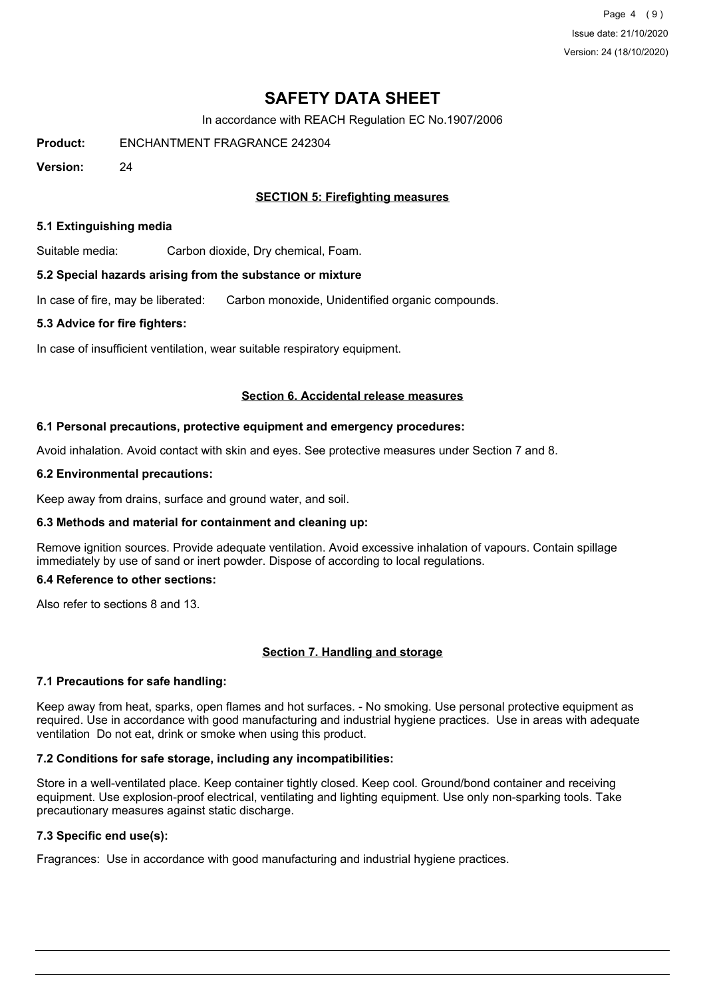Page 4 (9) Issue date: 21/10/2020 Version: 24 (18/10/2020)

## **SAFETY DATA SHEET**

In accordance with REACH Regulation EC No.1907/2006

**Product:** ENCHANTMENT FRAGRANCE 242304

**Version:** 24

## **SECTION 5: Firefighting measures**

#### **5.1 Extinguishing media**

Suitable media: Carbon dioxide, Dry chemical, Foam.

#### **5.2 Special hazards arising from the substance or mixture**

In case of fire, may be liberated: Carbon monoxide, Unidentified organic compounds.

#### **5.3 Advice for fire fighters:**

In case of insufficient ventilation, wear suitable respiratory equipment.

#### **Section 6. Accidental release measures**

#### **6.1 Personal precautions, protective equipment and emergency procedures:**

Avoid inhalation. Avoid contact with skin and eyes. See protective measures under Section 7 and 8.

#### **6.2 Environmental precautions:**

Keep away from drains, surface and ground water, and soil.

## **6.3 Methods and material for containment and cleaning up:**

Remove ignition sources. Provide adequate ventilation. Avoid excessive inhalation of vapours. Contain spillage immediately by use of sand or inert powder. Dispose of according to local regulations.

## **6.4 Reference to other sections:**

Also refer to sections 8 and 13.

## **Section 7. Handling and storage**

## **7.1 Precautions for safe handling:**

Keep away from heat, sparks, open flames and hot surfaces. - No smoking. Use personal protective equipment as required. Use in accordance with good manufacturing and industrial hygiene practices. Use in areas with adequate ventilation Do not eat, drink or smoke when using this product.

## **7.2 Conditions for safe storage, including any incompatibilities:**

Store in a well-ventilated place. Keep container tightly closed. Keep cool. Ground/bond container and receiving equipment. Use explosion-proof electrical, ventilating and lighting equipment. Use only non-sparking tools. Take precautionary measures against static discharge.

## **7.3 Specific end use(s):**

Fragrances: Use in accordance with good manufacturing and industrial hygiene practices.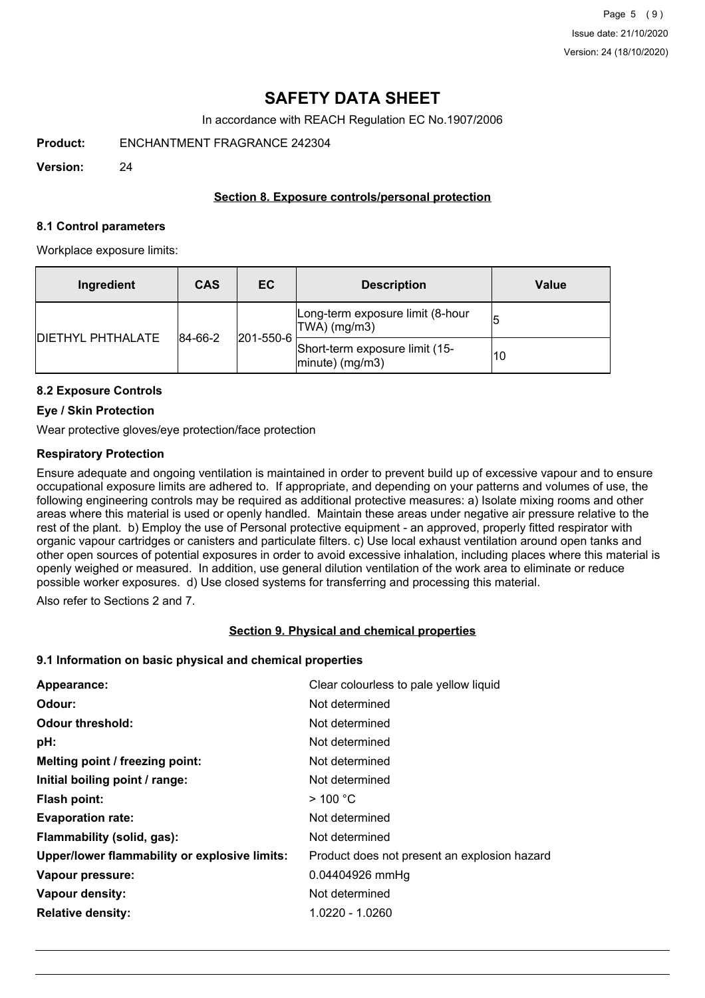## **SAFETY DATA SHEET**

In accordance with REACH Regulation EC No.1907/2006

**Product:** ENCHANTMENT FRAGRANCE 242304

**Version:** 24

## **Section 8. Exposure controls/personal protection**

#### **8.1 Control parameters**

Workplace exposure limits:

| Ingredient               | <b>CAS</b> | EC.               | <b>Description</b>                                       | Value |
|--------------------------|------------|-------------------|----------------------------------------------------------|-------|
| <b>DIETHYL PHTHALATE</b> | 84-66-2    | $ 201 - 550 - 6 $ | Long-term exposure limit (8-hour<br>TWA) (mg/m3)         |       |
|                          |            |                   | Short-term exposure limit (15-<br>$ $ minute $ $ (mg/m3) | 10    |

## **8.2 Exposure Controls**

## **Eye / Skin Protection**

Wear protective gloves/eye protection/face protection

## **Respiratory Protection**

Ensure adequate and ongoing ventilation is maintained in order to prevent build up of excessive vapour and to ensure occupational exposure limits are adhered to. If appropriate, and depending on your patterns and volumes of use, the following engineering controls may be required as additional protective measures: a) Isolate mixing rooms and other areas where this material is used or openly handled. Maintain these areas under negative air pressure relative to the rest of the plant. b) Employ the use of Personal protective equipment - an approved, properly fitted respirator with organic vapour cartridges or canisters and particulate filters. c) Use local exhaust ventilation around open tanks and other open sources of potential exposures in order to avoid excessive inhalation, including places where this material is openly weighed or measured. In addition, use general dilution ventilation of the work area to eliminate or reduce possible worker exposures. d) Use closed systems for transferring and processing this material.

Also refer to Sections 2 and 7.

## **Section 9. Physical and chemical properties**

## **9.1 Information on basic physical and chemical properties**

| Clear colourless to pale yellow liquid       |
|----------------------------------------------|
| Not determined                               |
| Not determined                               |
| Not determined                               |
| Not determined                               |
| Not determined                               |
| $>$ 100 °C                                   |
| Not determined                               |
| Not determined                               |
| Product does not present an explosion hazard |
| 0.04404926 mmHg                              |
| Not determined                               |
| 1.0220 - 1.0260                              |
|                                              |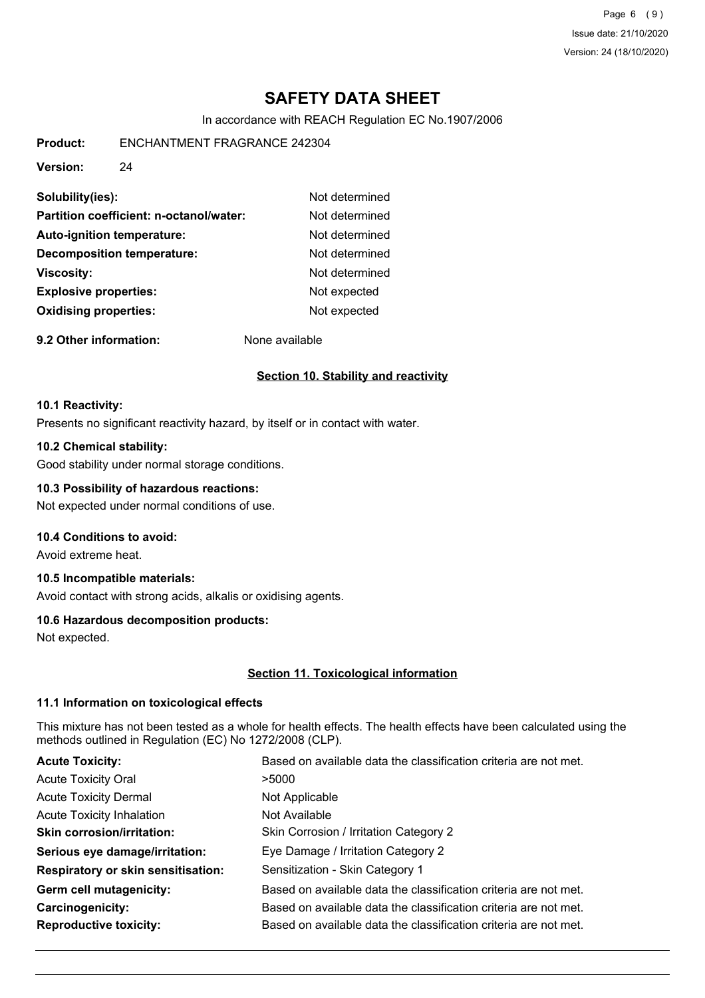Page 6 (9) Issue date: 21/10/2020 Version: 24 (18/10/2020)

# **SAFETY DATA SHEET**

In accordance with REACH Regulation EC No.1907/2006

**Product:** ENCHANTMENT FRAGRANCE 242304

**Version:** 24

| Solubility(ies):                        | Not determined |
|-----------------------------------------|----------------|
| Partition coefficient: n-octanol/water: | Not determined |
| <b>Auto-ignition temperature:</b>       | Not determined |
| <b>Decomposition temperature:</b>       | Not determined |
| <b>Viscosity:</b>                       | Not determined |
| <b>Explosive properties:</b>            | Not expected   |
| <b>Oxidising properties:</b>            | Not expected   |
|                                         |                |

**9.2 Other information:** None available

## **Section 10. Stability and reactivity**

#### **10.1 Reactivity:**

Presents no significant reactivity hazard, by itself or in contact with water.

## **10.2 Chemical stability:**

Good stability under normal storage conditions.

## **10.3 Possibility of hazardous reactions:**

Not expected under normal conditions of use.

## **10.4 Conditions to avoid:**

Avoid extreme heat.

## **10.5 Incompatible materials:**

Avoid contact with strong acids, alkalis or oxidising agents.

## **10.6 Hazardous decomposition products:**

Not expected.

## **Section 11. Toxicological information**

## **11.1 Information on toxicological effects**

This mixture has not been tested as a whole for health effects. The health effects have been calculated using the methods outlined in Regulation (EC) No 1272/2008 (CLP).

| Based on available data the classification criteria are not met. |
|------------------------------------------------------------------|
| >5000                                                            |
| Not Applicable                                                   |
| Not Available                                                    |
| Skin Corrosion / Irritation Category 2                           |
| Eye Damage / Irritation Category 2                               |
| Sensitization - Skin Category 1                                  |
| Based on available data the classification criteria are not met. |
| Based on available data the classification criteria are not met. |
| Based on available data the classification criteria are not met. |
|                                                                  |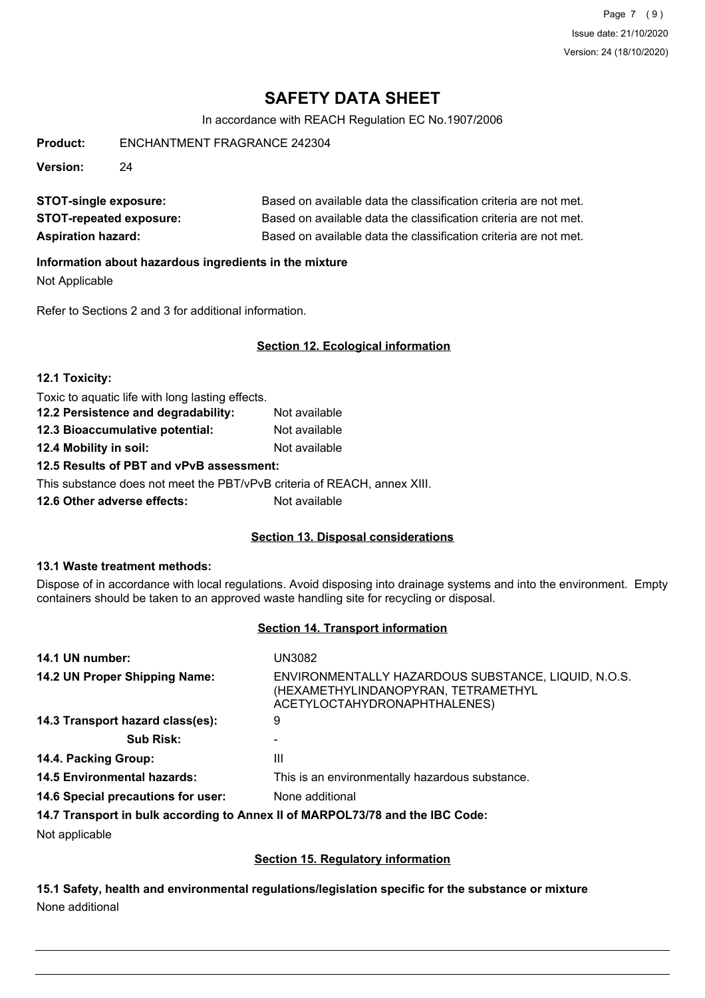Page 7 (9) Issue date: 21/10/2020 Version: 24 (18/10/2020)

# **SAFETY DATA SHEET**

In accordance with REACH Regulation EC No.1907/2006

**Product:** ENCHANTMENT FRAGRANCE 242304

**Version:** 24

| <b>STOT-single exposure:</b>   | Based on available data the classification criteria are not met. |
|--------------------------------|------------------------------------------------------------------|
| <b>STOT-repeated exposure:</b> | Based on available data the classification criteria are not met. |
| <b>Aspiration hazard:</b>      | Based on available data the classification criteria are not met. |

## **Information about hazardous ingredients in the mixture**

Not Applicable

Refer to Sections 2 and 3 for additional information.

## **Section 12. Ecological information**

| 12.1 Toxicity:                                   |               |  |
|--------------------------------------------------|---------------|--|
| Toxic to aquatic life with long lasting effects. |               |  |
| 12.2 Persistence and degradability:              | Not available |  |
| 12.3 Bioaccumulative potential:                  | Not available |  |
| 12.4 Mobility in soil:<br>Not available          |               |  |
| 12.5 Results of PBT and vPvB assessment:         |               |  |

This substance does not meet the PBT/vPvB criteria of REACH, annex XIII.

**12.6 Other adverse effects:** Not available

## **Section 13. Disposal considerations**

## **13.1 Waste treatment methods:**

Dispose of in accordance with local regulations. Avoid disposing into drainage systems and into the environment. Empty containers should be taken to an approved waste handling site for recycling or disposal.

## **Section 14. Transport information**

| 14.1 UN number:                    | UN3082                                                                                                                     |
|------------------------------------|----------------------------------------------------------------------------------------------------------------------------|
| 14.2 UN Proper Shipping Name:      | ENVIRONMENTALLY HAZARDOUS SUBSTANCE, LIQUID, N.O.S.<br>(HEXAMETHYLINDANOPYRAN, TETRAMETHYL<br>ACETYLOCTAHYDRONAPHTHALENES) |
| 14.3 Transport hazard class(es):   | 9                                                                                                                          |
| <b>Sub Risk:</b>                   |                                                                                                                            |
| 14.4. Packing Group:               | Ш                                                                                                                          |
| <b>14.5 Environmental hazards:</b> | This is an environmentally hazardous substance.                                                                            |
| 14.6 Special precautions for user: | None additional                                                                                                            |
|                                    | 14.7 Transport in bulk according to Annex II of MARPOL73/78 and the IBC Code:                                              |

Not applicable

## **Section 15. Regulatory information**

**15.1 Safety, health and environmental regulations/legislation specific for the substance or mixture** None additional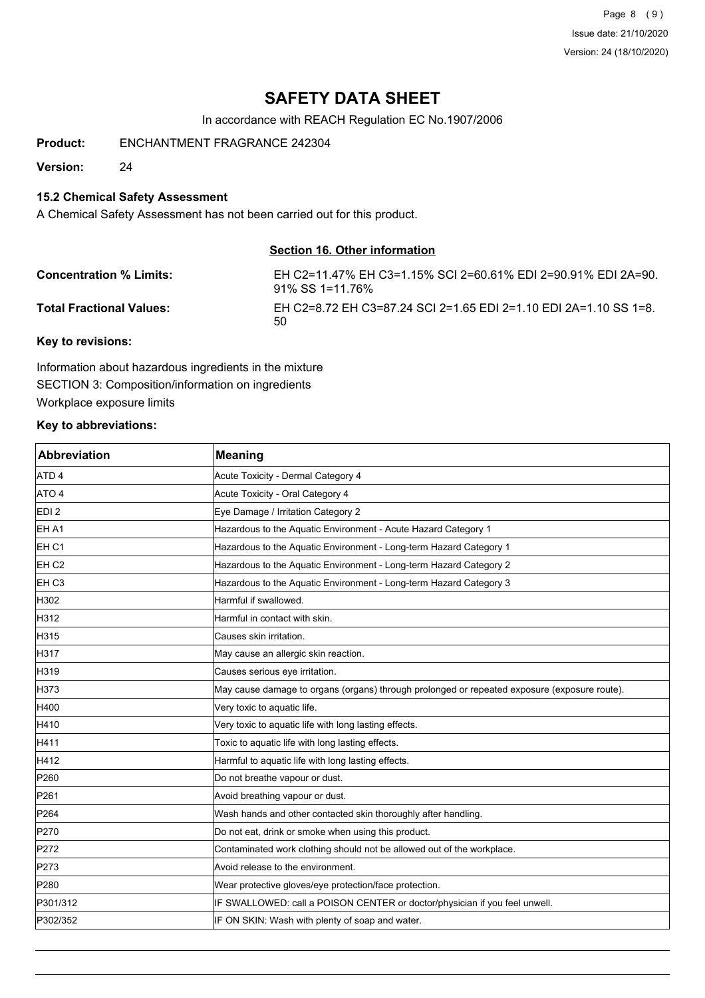Page 8 (9) Issue date: 21/10/2020 Version: 24 (18/10/2020)

## **SAFETY DATA SHEET**

In accordance with REACH Regulation EC No.1907/2006

**Product:** ENCHANTMENT FRAGRANCE 242304

**Version:** 24

## **15.2 Chemical Safety Assessment**

A Chemical Safety Assessment has not been carried out for this product.

## **Section 16. Other information**

| <b>Concentration % Limits:</b>  | EH C2=11.47% EH C3=1.15% SCI 2=60.61% EDI 2=90.91% EDI 2A=90.<br>91% SS 1=11.76% |
|---------------------------------|----------------------------------------------------------------------------------|
| <b>Total Fractional Values:</b> | EH C2=8.72 EH C3=87.24 SCI 2=1.65 EDI 2=1.10 EDI 2A=1.10 SS 1=8.<br>50           |
|                                 |                                                                                  |

#### **Key to revisions:**

Information about hazardous ingredients in the mixture SECTION 3: Composition/information on ingredients Workplace exposure limits

#### **Key to abbreviations:**

| <b>Abbreviation</b> | <b>Meaning</b>                                                                               |
|---------------------|----------------------------------------------------------------------------------------------|
| ATD <sub>4</sub>    | Acute Toxicity - Dermal Category 4                                                           |
| ATO 4               | Acute Toxicity - Oral Category 4                                                             |
| EDI <sub>2</sub>    | Eye Damage / Irritation Category 2                                                           |
| EH A1               | Hazardous to the Aquatic Environment - Acute Hazard Category 1                               |
| EH C1               | Hazardous to the Aquatic Environment - Long-term Hazard Category 1                           |
| EH <sub>C2</sub>    | Hazardous to the Aquatic Environment - Long-term Hazard Category 2                           |
| EH C3               | Hazardous to the Aquatic Environment - Long-term Hazard Category 3                           |
| H302                | Harmful if swallowed.                                                                        |
| H312                | Harmful in contact with skin.                                                                |
| H315                | Causes skin irritation.                                                                      |
| H317                | May cause an allergic skin reaction.                                                         |
| H319                | Causes serious eye irritation.                                                               |
| H373                | May cause damage to organs (organs) through prolonged or repeated exposure (exposure route). |
| H400                | Very toxic to aquatic life.                                                                  |
| H410                | Very toxic to aquatic life with long lasting effects.                                        |
| H411                | Toxic to aquatic life with long lasting effects.                                             |
| H412                | Harmful to aquatic life with long lasting effects.                                           |
| P260                | Do not breathe vapour or dust.                                                               |
| P261                | Avoid breathing vapour or dust.                                                              |
| P <sub>264</sub>    | Wash hands and other contacted skin thoroughly after handling.                               |
| P270                | Do not eat, drink or smoke when using this product.                                          |
| P272                | Contaminated work clothing should not be allowed out of the workplace.                       |
| P273                | Avoid release to the environment.                                                            |
| P280                | Wear protective gloves/eye protection/face protection.                                       |
| P301/312            | IF SWALLOWED: call a POISON CENTER or doctor/physician if you feel unwell.                   |
| P302/352            | IF ON SKIN: Wash with plenty of soap and water.                                              |